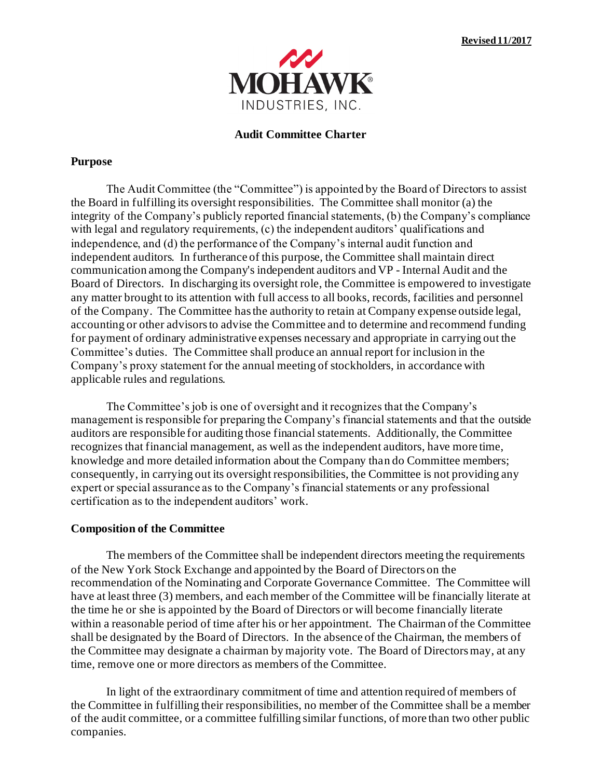

### **Audit Committee Charter**

#### **Purpose**

The Audit Committee (the "Committee") is appointed by the Board of Directors to assist the Board in fulfilling its oversight responsibilities. The Committee shall monitor (a) the integrity of the Company's publicly reported financial statements, (b) the Company's compliance with legal and regulatory requirements, (c) the independent auditors' qualifications and independence, and (d) the performance of the Company's internal audit function and independent auditors. In furtherance of this purpose, the Committee shall maintain direct communication among the Company's independent auditors and VP - Internal Audit and the Board of Directors. In discharging its oversight role, the Committee is empowered to investigate any matter brought to its attention with full access to all books, records, facilities and personnel of the Company. The Committee has the authority to retain at Company expense outside legal, accounting or other advisors to advise the Committee and to determine and recommend funding for payment of ordinary administrative expenses necessary and appropriate in carrying out the Committee's duties. The Committee shall produce an annual report for inclusion in the Company's proxy statement for the annual meeting of stockholders, in accordance with applicable rules and regulations.

The Committee's job is one of oversight and it recognizes that the Company's management is responsible for preparing the Company's financial statements and that the outside auditors are responsible for auditing those financial statements. Additionally, the Committee recognizes that financial management, as well as the independent auditors, have more time, knowledge and more detailed information about the Company than do Committee members; consequently, in carrying out its oversight responsibilities, the Committee is not providing any expert or special assurance as to the Company's financial statements or any professional certification as to the independent auditors' work.

#### **Composition of the Committee**

The members of the Committee shall be independent directors meeting the requirements of the New York Stock Exchange and appointed by the Board of Directors on the recommendation of the Nominating and Corporate Governance Committee. The Committee will have at least three (3) members, and each member of the Committee will be financially literate at the time he or she is appointed by the Board of Directors or will become financially literate within a reasonable period of time after his or her appointment. The Chairman of the Committee shall be designated by the Board of Directors. In the absence of the Chairman, the members of the Committee may designate a chairman by majority vote. The Board of Directors may, at any time, remove one or more directors as members of the Committee.

In light of the extraordinary commitment of time and attention required of members of the Committee in fulfilling their responsibilities, no member of the Committee shall be a member of the audit committee, or a committee fulfilling similar functions, of more than two other public companies.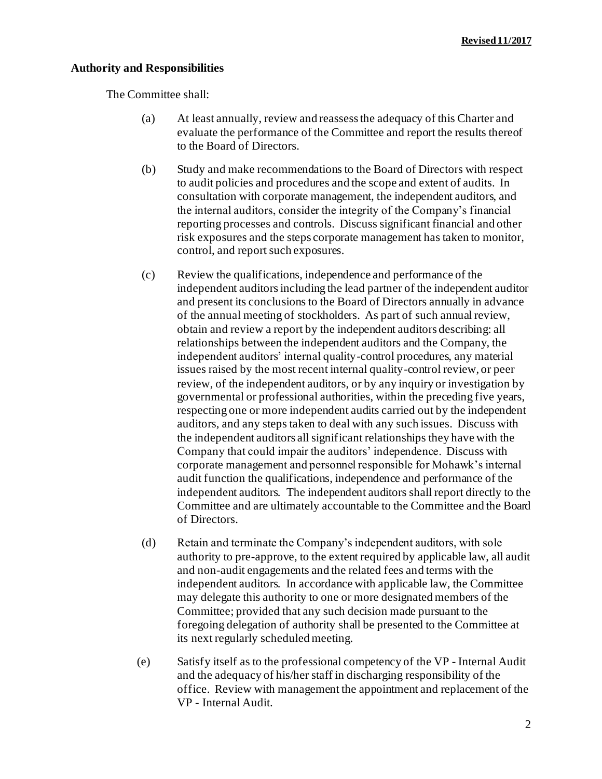## **Authority and Responsibilities**

The Committee shall:

- (a) At least annually, review and reassess the adequacy of this Charter and evaluate the performance of the Committee and report the results thereof to the Board of Directors.
- (b) Study and make recommendations to the Board of Directors with respect to audit policies and procedures and the scope and extent of audits. In consultation with corporate management, the independent auditors, and the internal auditors, consider the integrity of the Company's financial reporting processes and controls. Discuss significant financial and other risk exposures and the steps corporate management has taken to monitor, control, and report such exposures.
- (c) Review the qualifications, independence and performance of the independent auditors including the lead partner of the independent auditor and present its conclusions to the Board of Directors annually in advance of the annual meeting of stockholders. As part of such annual review, obtain and review a report by the independent auditors describing: all relationships between the independent auditors and the Company, the independent auditors' internal quality-control procedures, any material issues raised by the most recent internal quality-control review, or peer review, of the independent auditors, or by any inquiry or investigation by governmental or professional authorities, within the preceding five years, respecting one or more independent audits carried out by the independent auditors, and any steps taken to deal with any such issues. Discuss with the independent auditors all significant relationships they have with the Company that could impair the auditors' independence. Discuss with corporate management and personnel responsible for Mohawk's internal audit function the qualifications, independence and performance of the independent auditors. The independent auditors shall report directly to the Committee and are ultimately accountable to the Committee and the Board of Directors.
- (d) Retain and terminate the Company's independent auditors, with sole authority to pre-approve, to the extent required by applicable law, all audit and non-audit engagements and the related fees and terms with the independent auditors. In accordance with applicable law, the Committee may delegate this authority to one or more designated members of the Committee; provided that any such decision made pursuant to the foregoing delegation of authority shall be presented to the Committee at its next regularly scheduled meeting.
- (e) Satisfy itself as to the professional competency of the VP Internal Audit and the adequacy of his/her staff in discharging responsibility of the office. Review with management the appointment and replacement of the VP - Internal Audit.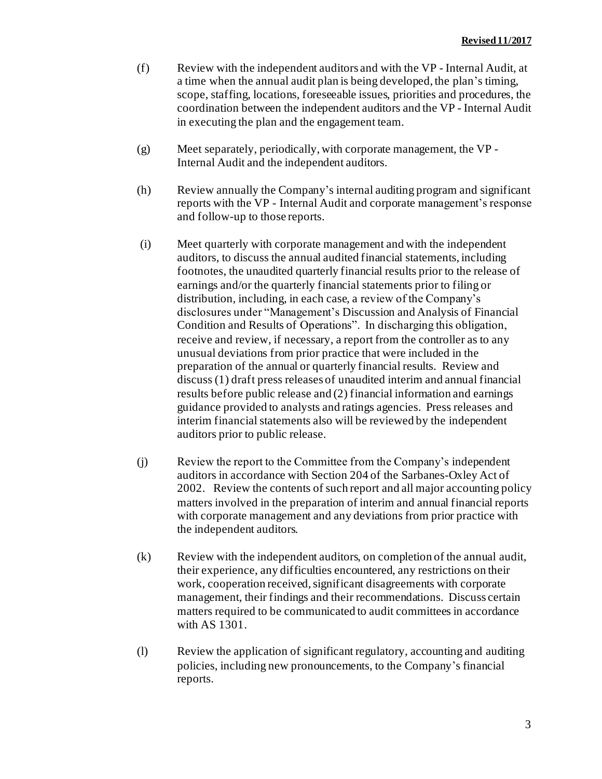- (f) Review with the independent auditors and with the VP Internal Audit, at a time when the annual audit plan is being developed, the plan's timing, scope, staffing, locations, foreseeable issues, priorities and procedures, the coordination between the independent auditors and the VP - Internal Audit in executing the plan and the engagement team.
- (g) Meet separately, periodically, with corporate management, the VP Internal Audit and the independent auditors.
- (h) Review annually the Company's internal auditing program and significant reports with the VP - Internal Audit and corporate management's response and follow-up to those reports.
- (i) Meet quarterly with corporate management and with the independent auditors, to discuss the annual audited financial statements, including footnotes, the unaudited quarterly financial results prior to the release of earnings and/or the quarterly financial statements prior to filing or distribution, including, in each case, a review of the Company's disclosures under "Management's Discussion and Analysis of Financial Condition and Results of Operations". In discharging this obligation, receive and review, if necessary, a report from the controller as to any unusual deviations from prior practice that were included in the preparation of the annual or quarterly financial results. Review and discuss (1) draft press releases of unaudited interim and annual financial results before public release and (2) financial information and earnings guidance provided to analysts and ratings agencies. Press releases and interim financial statements also will be reviewed by the independent auditors prior to public release.
- (j) Review the report to the Committee from the Company's independent auditors in accordance with Section 204 of the Sarbanes-Oxley Act of 2002. Review the contents of such report and all major accounting policy matters involved in the preparation of interim and annual financial reports with corporate management and any deviations from prior practice with the independent auditors.
- (k) Review with the independent auditors, on completion of the annual audit, their experience, any difficulties encountered, any restrictions on their work, cooperation received, significant disagreements with corporate management, their findings and their recommendations. Discuss certain matters required to be communicated to audit committees in accordance with AS 1301.
- (l) Review the application of significant regulatory, accounting and auditing policies, including new pronouncements, to the Company's financial reports.